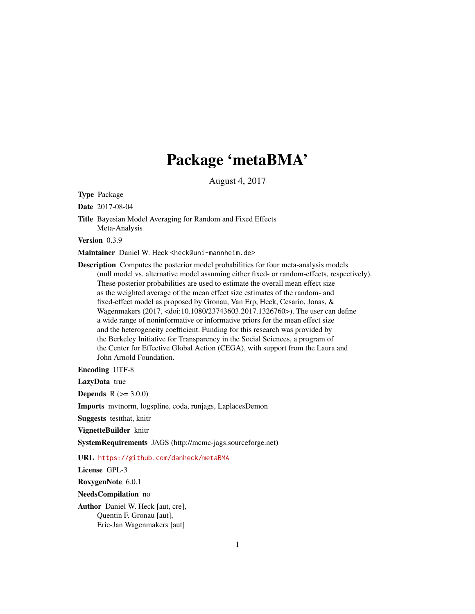## Package 'metaBMA'

August 4, 2017

<span id="page-0-0"></span>Type Package

Date 2017-08-04

Title Bayesian Model Averaging for Random and Fixed Effects Meta-Analysis

Version 0.3.9

Maintainer Daniel W. Heck <heck@uni-mannheim.de>

Description Computes the posterior model probabilities for four meta-analysis models (null model vs. alternative model assuming either fixed- or random-effects, respectively). These posterior probabilities are used to estimate the overall mean effect size as the weighted average of the mean effect size estimates of the random- and fixed-effect model as proposed by Gronau, Van Erp, Heck, Cesario, Jonas, & Wagenmakers (2017, <doi:10.1080/23743603.2017.1326760>). The user can define a wide range of noninformative or informative priors for the mean effect size and the heterogeneity coefficient. Funding for this research was provided by the Berkeley Initiative for Transparency in the Social Sciences, a program of the Center for Effective Global Action (CEGA), with support from the Laura and John Arnold Foundation.

Encoding UTF-8

LazyData true

**Depends**  $R (= 3.0.0)$ 

Imports mvtnorm, logspline, coda, runjags, LaplacesDemon

Suggests testthat, knitr

VignetteBuilder knitr

SystemRequirements JAGS (http://mcmc-jags.sourceforge.net)

URL <https://github.com/danheck/metaBMA>

License GPL-3

RoxygenNote 6.0.1

NeedsCompilation no

Author Daniel W. Heck [aut, cre], Quentin F. Gronau [aut], Eric-Jan Wagenmakers [aut]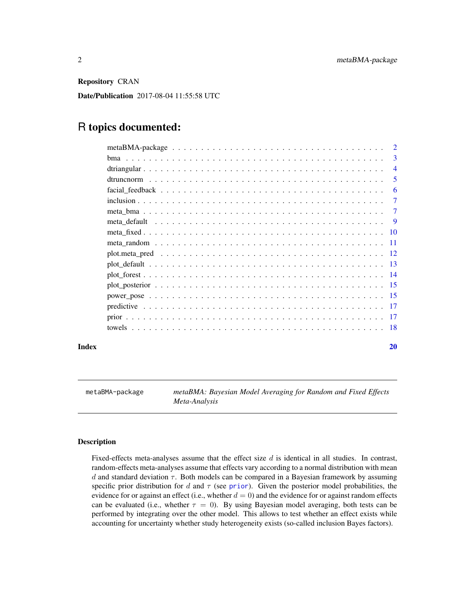<span id="page-1-0"></span>Repository CRAN

Date/Publication 2017-08-04 11:55:58 UTC

## R topics documented:

| metaBMA-package $\ldots \ldots \ldots \ldots \ldots \ldots \ldots \ldots \ldots \ldots \ldots \ldots \ldots$ | $\mathcal{D}$  |
|--------------------------------------------------------------------------------------------------------------|----------------|
|                                                                                                              | 3              |
|                                                                                                              | $\overline{4}$ |
|                                                                                                              | 5              |
|                                                                                                              | 6              |
|                                                                                                              | 7              |
|                                                                                                              | 7              |
|                                                                                                              | -9             |
|                                                                                                              |                |
|                                                                                                              |                |
|                                                                                                              |                |
|                                                                                                              |                |
|                                                                                                              |                |
|                                                                                                              |                |
|                                                                                                              |                |
|                                                                                                              |                |
|                                                                                                              |                |
|                                                                                                              |                |
|                                                                                                              |                |

#### **Index** [20](#page-19-0)

metaBMA-package *metaBMA: Bayesian Model Averaging for Random and Fixed Effects Meta-Analysis*

#### Description

Fixed-effects meta-analyses assume that the effect size d is identical in all studies. In contrast, random-effects meta-analyses assume that effects vary according to a normal distribution with mean  $d$  and standard deviation  $\tau$ . Both models can be compared in a Bayesian framework by assuming specific [prior](#page-16-1) distribution for d and  $\tau$  (see prior). Given the posterior model probabilities, the evidence for or against an effect (i.e., whether  $d = 0$ ) and the evidence for or against random effects can be evaluated (i.e., whether  $\tau = 0$ ). By using Bayesian model averaging, both tests can be performed by integrating over the other model. This allows to test whether an effect exists while accounting for uncertainty whether study heterogeneity exists (so-called inclusion Bayes factors).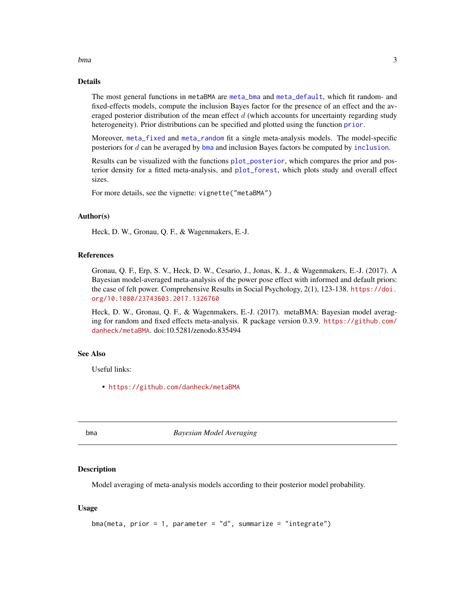## <span id="page-2-0"></span>bma 3

## Details

The most general functions in metaBMA are [meta\\_bma](#page-6-1) and [meta\\_default](#page-8-1), which fit random- and fixed-effects models, compute the inclusion Bayes factor for the presence of an effect and the averaged posterior distribution of the mean effect  $d$  (which accounts for uncertainty regarding study heterogeneity). Prior distributions can be specified and plotted using the function [prior](#page-16-1).

Moreover, [meta\\_fixed](#page-9-1) and [meta\\_random](#page-10-1) fit a single meta-analysis models. The model-specific posteriors for d can be averaged by [bma](#page-2-1) and inclusion Bayes factors be computed by [inclusion](#page-6-2).

Results can be visualized with the functions [plot\\_posterior](#page-14-1), which compares the prior and posterior density for a fitted meta-analysis, and [plot\\_forest](#page-13-1), which plots study and overall effect sizes.

For more details, see the vignette: vignette("metaBMA")

#### Author(s)

Heck, D. W., Gronau, Q. F., & Wagenmakers, E.-J.

#### References

Gronau, Q. F., Erp, S. V., Heck, D. W., Cesario, J., Jonas, K. J., & Wagenmakers, E.-J. (2017). A Bayesian model-averaged meta-analysis of the power pose effect with informed and default priors: the case of felt power. Comprehensive Results in Social Psychology, 2(1), 123-138. [https://doi.](https://doi.org/10.1080/23743603.2017.1326760) [org/10.1080/23743603.2017.1326760](https://doi.org/10.1080/23743603.2017.1326760)

Heck, D. W., Gronau, Q. F., & Wagenmakers, E.-J. (2017). metaBMA: Bayesian model averaging for random and fixed effects meta-analysis. R package version 0.3.9. [https://github.com/](https://github.com/danheck/metaBMA) [danheck/metaBMA](https://github.com/danheck/metaBMA). doi:10.5281/zenodo.835494

#### See Also

Useful links:

• <https://github.com/danheck/metaBMA>

<span id="page-2-1"></span>

bma *Bayesian Model Averaging*

#### Description

Model averaging of meta-analysis models according to their posterior model probability.

```
bma(meta, prior = 1, parameter = "d", summarize = "integrate")
```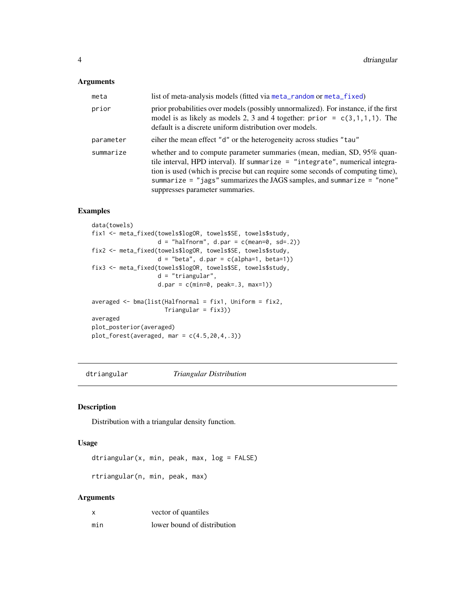## <span id="page-3-0"></span>Arguments

| meta      | list of meta-analysis models (fitted via meta_random or meta_fixed)                                                                                                                                                                                                                                                                                       |
|-----------|-----------------------------------------------------------------------------------------------------------------------------------------------------------------------------------------------------------------------------------------------------------------------------------------------------------------------------------------------------------|
| prior     | prior probabilities over models (possibly unnormalized). For instance, if the first<br>model is as likely as models 2, 3 and 4 together: $prior = c(3,1,1,1)$ . The<br>default is a discrete uniform distribution over models.                                                                                                                            |
| parameter | eiher the mean effect "d" or the heterogeneity across studies "tau"                                                                                                                                                                                                                                                                                       |
| summarize | whether and to compute parameter summaries (mean, median, SD, 95% quan-<br>tile interval, HPD interval). If summarize $=$ "integrate", numerical integra-<br>tion is used (which is precise but can require some seconds of computing time),<br>summarize = "jags" summarizes the JAGS samples, and summarize = "none"<br>suppresses parameter summaries. |

## Examples

```
data(towels)
fix1 <- meta_fixed(towels$logOR, towels$SE, towels$study,
                   d = "halfnorm", d.par = c(mean=0, sd=.2))fix2 <- meta_fixed(towels$logOR, towels$SE, towels$study,
                   d = "beta", d.par = c(alpha=1, beta=1))fix3 <- meta_fixed(towels$logOR, towels$SE, towels$study,
                   d = "triangular",
                   d.par = c(min=0, peak=.3, max=1)averaged <- bma(list(Halfnormal = fix1, Uniform = fix2,
                    Triangular = fix3))
averaged
plot_posterior(averaged)
plot_forest(averaged, mar = c(4.5, 20, 4, .3))
```
<span id="page-3-1"></span>dtriangular *Triangular Distribution*

#### Description

Distribution with a triangular density function.

## Usage

```
dtriangular(x, min, peak, max, log = FALSE)
```
rtriangular(n, min, peak, max)

#### Arguments

|     | vector of quantiles         |
|-----|-----------------------------|
| min | lower bound of distribution |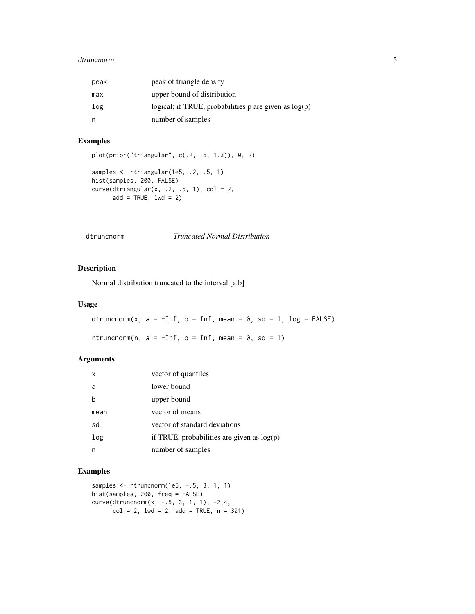#### <span id="page-4-0"></span>dtruncnorm 5

| peak | peak of triangle density                                |
|------|---------------------------------------------------------|
| max  | upper bound of distribution                             |
| log  | logical; if TRUE, probabilities p are given as $log(p)$ |
| n    | number of samples                                       |

## Examples

```
plot(prior("triangular", c(.2, .6, 1.3)), 0, 2)
samples <- rtriangular(1e5, .2, .5, 1)
hist(samples, 200, FALSE)
curve(dtriangle(x, .2, .5, 1), col = 2,add = TRUE, 1wd = 2)
```
<span id="page-4-1"></span>dtruncnorm *Truncated Normal Distribution*

## Description

Normal distribution truncated to the interval [a,b]

#### Usage

dtruncnorm(x,  $a = -Inf$ ,  $b = Inf$ , mean = 0, sd = 1, log = FALSE)

rtruncnorm(n,  $a = -Inf$ ,  $b = Inf$ , mean = 0, sd = 1)

## Arguments

| x    | vector of quantiles                          |
|------|----------------------------------------------|
| a    | lower bound                                  |
| h    | upper bound                                  |
| mean | vector of means                              |
| sd   | vector of standard deviations                |
| log  | if TRUE, probabilities are given as $log(p)$ |
| n    | number of samples                            |

```
samples <- rtruncnorm(1e5, -.5, 3, 1, 1)
hist(samples, 200, freq = FALSE)
curve(dtruncnorm(x, -.5, 3, 1, 1), -2,4,
      col = 2, 1wd = 2, add = TRUE, n = 301)
```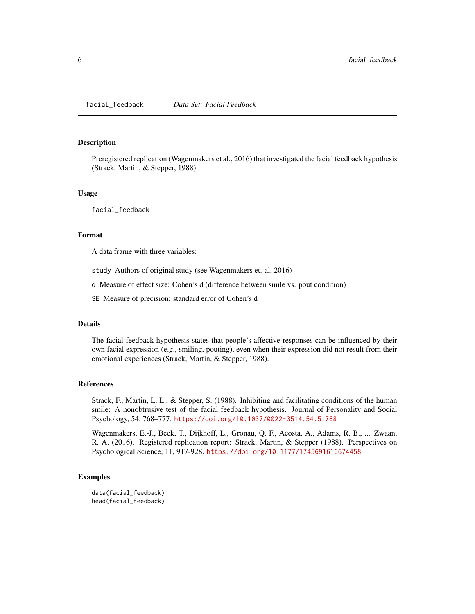<span id="page-5-0"></span>

Preregistered replication (Wagenmakers et al., 2016) that investigated the facial feedback hypothesis (Strack, Martin, & Stepper, 1988).

#### Usage

facial\_feedback

#### Format

A data frame with three variables:

study Authors of original study (see Wagenmakers et. al, 2016)

d Measure of effect size: Cohen's d (difference between smile vs. pout condition)

SE Measure of precision: standard error of Cohen's d

## Details

The facial-feedback hypothesis states that people's affective responses can be influenced by their own facial expression (e.g., smiling, pouting), even when their expression did not result from their emotional experiences (Strack, Martin, & Stepper, 1988).

#### References

Strack, F., Martin, L. L., & Stepper, S. (1988). Inhibiting and facilitating conditions of the human smile: A nonobtrusive test of the facial feedback hypothesis. Journal of Personality and Social Psychology, 54, 768–777. <https://doi.org/10.1037/0022-3514.54.5.768>

Wagenmakers, E.-J., Beek, T., Dijkhoff, L., Gronau, Q. F., Acosta, A., Adams, R. B., ... Zwaan, R. A. (2016). Registered replication report: Strack, Martin, & Stepper (1988). Perspectives on Psychological Science, 11, 917-928. <https://doi.org/10.1177/1745691616674458>

## Examples

data(facial\_feedback) head(facial\_feedback)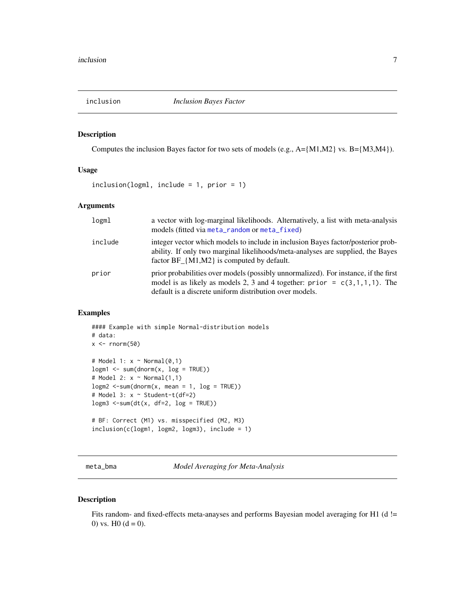<span id="page-6-2"></span><span id="page-6-0"></span>

Computes the inclusion Bayes factor for two sets of models (e.g., A={M1,M2} vs. B={M3,M4}).

## Usage

```
inclusion(logml, include = 1, prior = 1)
```
## Arguments

| logml   | a vector with log-marginal likelihoods. Alternatively, a list with meta-analysis<br>models (fitted via meta_random or meta_fixed)                                                                                              |
|---------|--------------------------------------------------------------------------------------------------------------------------------------------------------------------------------------------------------------------------------|
| include | integer vector which models to include in inclusion Bayes factor/posterior prob-<br>ability. If only two marginal likelihoods/meta-analyses are supplied, the Bayes<br>factor $BF \{M1,M2\}$ is computed by default.           |
| prior   | prior probabilities over models (possibly unnormalized). For instance, if the first<br>model is as likely as models 2, 3 and 4 together: prior = $c(3,1,1,1)$ . The<br>default is a discrete uniform distribution over models. |

#### Examples

```
#### Example with simple Normal-distribution models
# data:
x \le - rnorm(50)
# Model 1: x ~ Normal(0,1)
logm1 < -sum(dnorm(x, log = TRUE))# Model 2: x \sim \text{Normal}(1,1)logm2 < -sum(dnorm(x, mean = 1, log = TRUE))# Model 3: x ~ Student-t(df=2)
logm3 < -sum(dt(x, df=2, log = TRUE))# BF: Correct (M1) vs. misspecified (M2, M3)
inclusion(c(logm1, logm2, logm3), include = 1)
```
<span id="page-6-1"></span>meta\_bma *Model Averaging for Meta-Analysis*

## Description

Fits random- and fixed-effects meta-anayses and performs Bayesian model averaging for H1 (d != 0) vs.  $H0 (d = 0)$ .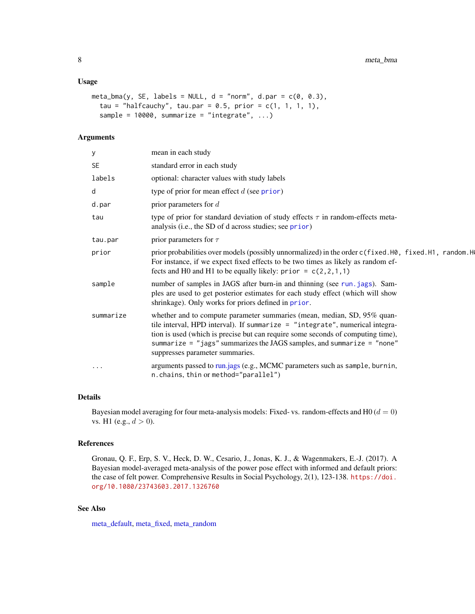#### <span id="page-7-0"></span>Usage

```
meta_bma(y, SE, labels = NULL, d = "norm", d.parent = c(0, 0.3),tau = "halfcauchy", tau.par = 0.5, prior = c(1, 1, 1, 1),
  sample = 10000, summarize = "integrate", ...)
```
## Arguments

| у         | mean in each study                                                                                                                                                                                                                                                                                                                                      |
|-----------|---------------------------------------------------------------------------------------------------------------------------------------------------------------------------------------------------------------------------------------------------------------------------------------------------------------------------------------------------------|
| <b>SE</b> | standard error in each study                                                                                                                                                                                                                                                                                                                            |
| labels    | optional: character values with study labels                                                                                                                                                                                                                                                                                                            |
| d         | type of prior for mean effect $d$ (see prior)                                                                                                                                                                                                                                                                                                           |
| d.par     | prior parameters for $d$                                                                                                                                                                                                                                                                                                                                |
| tau       | type of prior for standard deviation of study effects $\tau$ in random-effects meta-<br>analysis (i.e., the SD of d across studies; see prior)                                                                                                                                                                                                          |
| tau.par   | prior parameters for $\tau$                                                                                                                                                                                                                                                                                                                             |
| prior     | prior probabilities over models (possibly unnormalized) in the order c(fixed.H0, fixed.H1, random.H<br>For instance, if we expect fixed effects to be two times as likely as random ef-<br>fects and H0 and H1 to be equally likely: $prior = c(2, 2, 1, 1)$                                                                                            |
| sample    | number of samples in JAGS after burn-in and thinning (see run. jags). Sam-<br>ples are used to get posterior estimates for each study effect (which will show<br>shrinkage). Only works for priors defined in prior.                                                                                                                                    |
| summarize | whether and to compute parameter summaries (mean, median, SD, 95% quan-<br>tile interval, HPD interval). If summarize = "integrate", numerical integra-<br>tion is used (which is precise but can require some seconds of computing time),<br>summarize = "jags" summarizes the JAGS samples, and summarize = "none"<br>suppresses parameter summaries. |
| $\cdots$  | arguments passed to run.jags (e.g., MCMC parameters such as sample, burnin,<br>n.chains, thin or method="parallel")                                                                                                                                                                                                                                     |

## Details

Bayesian model averaging for four meta-analysis models: Fixed- vs. random-effects and H0 ( $d = 0$ ) vs. H1 (e.g.,  $d > 0$ ).

#### References

Gronau, Q. F., Erp, S. V., Heck, D. W., Cesario, J., Jonas, K. J., & Wagenmakers, E.-J. (2017). A Bayesian model-averaged meta-analysis of the power pose effect with informed and default priors: the case of felt power. Comprehensive Results in Social Psychology, 2(1), 123-138. [https://doi.](https://doi.org/10.1080/23743603.2017.1326760) [org/10.1080/23743603.2017.1326760](https://doi.org/10.1080/23743603.2017.1326760)

## See Also

[meta\\_default,](#page-8-1) [meta\\_fixed,](#page-9-1) [meta\\_random](#page-10-1)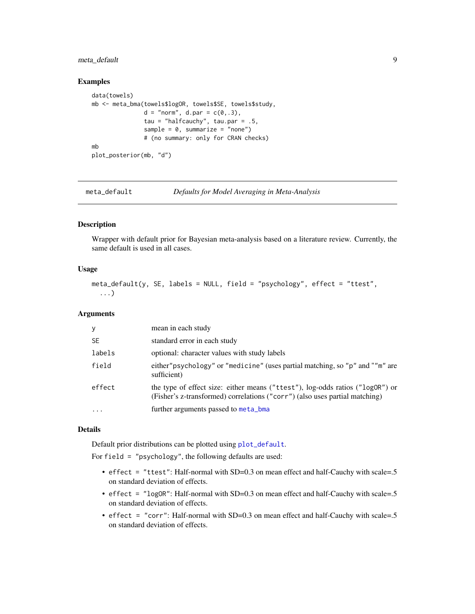## <span id="page-8-0"></span>meta\_default 9

#### Examples

```
data(towels)
mb <- meta_bma(towels$logOR, towels$SE, towels$study,
               d = "norm", d.par = c(0..3),tau = "halfcauchy", tau.par = .5,
               sample = 0, summarize = "none")
               # (no summary: only for CRAN checks)
mb
plot_posterior(mb, "d")
```
<span id="page-8-1"></span>

meta\_default *Defaults for Model Averaging in Meta-Analysis*

#### Description

Wrapper with default prior for Bayesian meta-analysis based on a literature review. Currently, the same default is used in all cases.

## Usage

```
meta_default(y, SE, labels = NULL, field = "psychology", effect = "ttest",
  ...)
```
#### Arguments

| y         | mean in each study                                                                                                                                           |
|-----------|--------------------------------------------------------------------------------------------------------------------------------------------------------------|
| <b>SE</b> | standard error in each study                                                                                                                                 |
| labels    | optional: character values with study labels                                                                                                                 |
| field     | either"psychology" or "medicine" (uses partial matching, so "p" and ""m" are<br>sufficient)                                                                  |
| effect    | the type of effect size: either means ("ttest"), log-odds ratios ("logOR") or<br>(Fisher's z-transformed) correlations ("corr") (also uses partial matching) |
| $\ddotsc$ | further arguments passed to meta_bma                                                                                                                         |

#### Details

Default prior distributions can be plotted using [plot\\_default](#page-12-1).

For field = "psychology", the following defaults are used:

- effect = "ttest": Half-normal with SD=0.3 on mean effect and half-Cauchy with scale=.5 on standard deviation of effects.
- effect = "logOR": Half-normal with SD=0.3 on mean effect and half-Cauchy with scale=.5 on standard deviation of effects.
- effect = "corr": Half-normal with SD=0.3 on mean effect and half-Cauchy with scale=.5 on standard deviation of effects.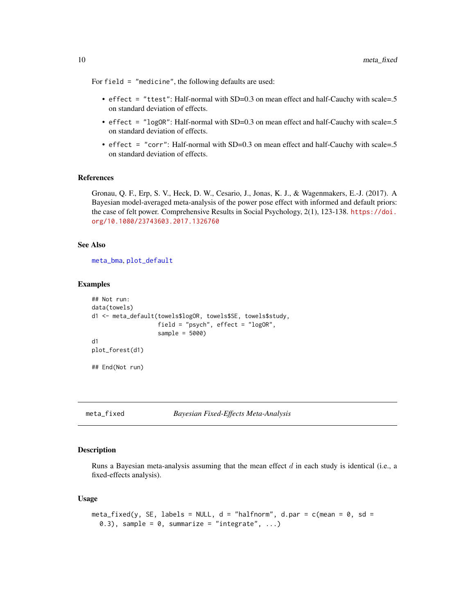For field = "medicine", the following defaults are used:

- effect = "ttest": Half-normal with SD=0.3 on mean effect and half-Cauchy with scale=.5 on standard deviation of effects.
- effect = "log0R": Half-normal with SD=0.3 on mean effect and half-Cauchy with scale=.5 on standard deviation of effects.
- effect = "corr": Half-normal with SD=0.3 on mean effect and half-Cauchy with scale=.5 on standard deviation of effects.

#### References

Gronau, Q. F., Erp, S. V., Heck, D. W., Cesario, J., Jonas, K. J., & Wagenmakers, E.-J. (2017). A Bayesian model-averaged meta-analysis of the power pose effect with informed and default priors: the case of felt power. Comprehensive Results in Social Psychology, 2(1), 123-138. [https://doi.](https://doi.org/10.1080/23743603.2017.1326760) [org/10.1080/23743603.2017.1326760](https://doi.org/10.1080/23743603.2017.1326760)

#### See Also

[meta\\_bma](#page-6-1), [plot\\_default](#page-12-1)

#### Examples

```
## Not run:
data(towels)
d1 <- meta_default(towels$logOR, towels$SE, towels$study,
                   field = "psych", effect = "logOR",
                   sample = 5000)
d1
plot_forest(d1)
## End(Not run)
```
<span id="page-9-1"></span>

meta\_fixed *Bayesian Fixed-Effects Meta-Analysis*

#### Description

Runs a Bayesian meta-analysis assuming that the mean effect  $d$  in each study is identical (i.e., a fixed-effects analysis).

```
meta_fixed(y, SE, labels = NULL, d = "halfnorm", d.par = c(mean = 0, sd =0.3), sample = 0, summarize = "integrate", ...)
```
<span id="page-9-0"></span>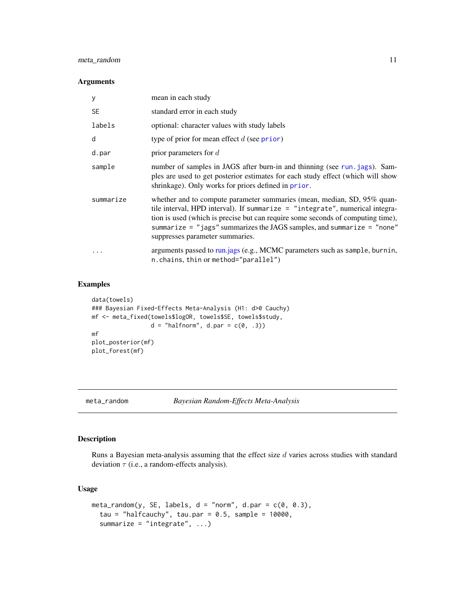## <span id="page-10-0"></span>meta\_random 11

#### Arguments

| у         | mean in each study                                                                                                                                                                                                                                                                                                                                      |
|-----------|---------------------------------------------------------------------------------------------------------------------------------------------------------------------------------------------------------------------------------------------------------------------------------------------------------------------------------------------------------|
| <b>SE</b> | standard error in each study                                                                                                                                                                                                                                                                                                                            |
| labels    | optional: character values with study labels                                                                                                                                                                                                                                                                                                            |
| d         | type of prior for mean effect $d$ (see prior)                                                                                                                                                                                                                                                                                                           |
| d.par     | prior parameters for $d$                                                                                                                                                                                                                                                                                                                                |
| sample    | number of samples in JAGS after burn-in and thinning (see run. jags). Sam-<br>ples are used to get posterior estimates for each study effect (which will show<br>shrinkage). Only works for priors defined in prior.                                                                                                                                    |
| summarize | whether and to compute parameter summaries (mean, median, SD, 95% quan-<br>tile interval, HPD interval). If summarize = "integrate", numerical integra-<br>tion is used (which is precise but can require some seconds of computing time),<br>summarize = "jags" summarizes the JAGS samples, and summarize = "none"<br>suppresses parameter summaries. |
|           | arguments passed to run.jags (e.g., MCMC parameters such as sample, burnin,<br>n.chains, thin or method="parallel")                                                                                                                                                                                                                                     |

## Examples

```
data(towels)
### Bayesian Fixed-Effects Meta-Analysis (H1: d>0 Cauchy)
mf <- meta_fixed(towels$logOR, towels$SE, towels$study,
                 d = "halfnorm", d.par = c(0, .3))mf
plot_posterior(mf)
plot_forest(mf)
```
<span id="page-10-1"></span>

meta\_random *Bayesian Random-Effects Meta-Analysis*

## Description

Runs a Bayesian meta-analysis assuming that the effect size  $d$  varies across studies with standard deviation  $\tau$  (i.e., a random-effects analysis).

```
meta_random(y, SE, labels, d = "norm", d.parent = c(0, 0.3),tau = "halfcauchy", tau.par = 0.5, sample = 10000,
  summarize = "integrate", ...)
```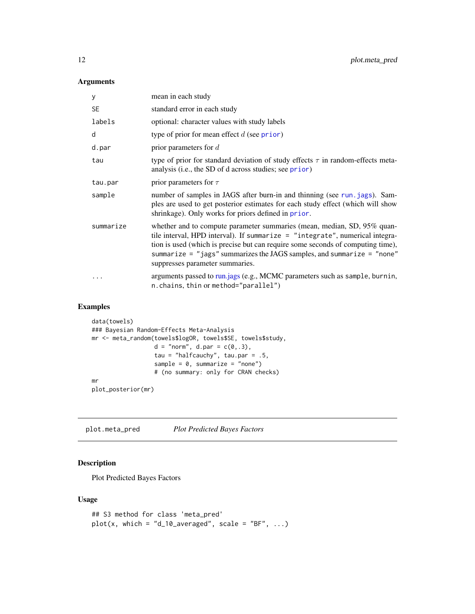## <span id="page-11-0"></span>Arguments

| У         | mean in each study                                                                                                                                                                                                                                                                                                                                      |
|-----------|---------------------------------------------------------------------------------------------------------------------------------------------------------------------------------------------------------------------------------------------------------------------------------------------------------------------------------------------------------|
| <b>SE</b> | standard error in each study                                                                                                                                                                                                                                                                                                                            |
| labels    | optional: character values with study labels                                                                                                                                                                                                                                                                                                            |
| d         | type of prior for mean effect $d$ (see prior)                                                                                                                                                                                                                                                                                                           |
| d.par     | prior parameters for $d$                                                                                                                                                                                                                                                                                                                                |
| tau       | type of prior for standard deviation of study effects $\tau$ in random-effects meta-<br>analysis (i.e., the SD of d across studies; see prior)                                                                                                                                                                                                          |
| tau.par   | prior parameters for $\tau$                                                                                                                                                                                                                                                                                                                             |
| sample    | number of samples in JAGS after burn-in and thinning (see run. jags). Sam-<br>ples are used to get posterior estimates for each study effect (which will show<br>shrinkage). Only works for priors defined in prior.                                                                                                                                    |
| summarize | whether and to compute parameter summaries (mean, median, SD, 95% quan-<br>tile interval, HPD interval). If summarize = "integrate", numerical integra-<br>tion is used (which is precise but can require some seconds of computing time),<br>summarize = "jags" summarizes the JAGS samples, and summarize = "none"<br>suppresses parameter summaries. |
|           | arguments passed to run.jags (e.g., MCMC parameters such as sample, burnin,<br>n.chains, thin or method="parallel")                                                                                                                                                                                                                                     |

## Examples

```
data(towels)
### Bayesian Random-Effects Meta-Analysis
mr <- meta_random(towels$logOR, towels$SE, towels$study,
                 d = "norm", d.par = c(0,.3),tau = "halfcauchy", tau.par = .5,
                  sample = 0, summarize = "none")
                  # (no summary: only for CRAN checks)
mr
plot_posterior(mr)
```
plot.meta\_pred *Plot Predicted Bayes Factors*

## Description

Plot Predicted Bayes Factors

```
## S3 method for class 'meta_pred'
plot(x, which = "d_10_average", scale = "BF", ...)
```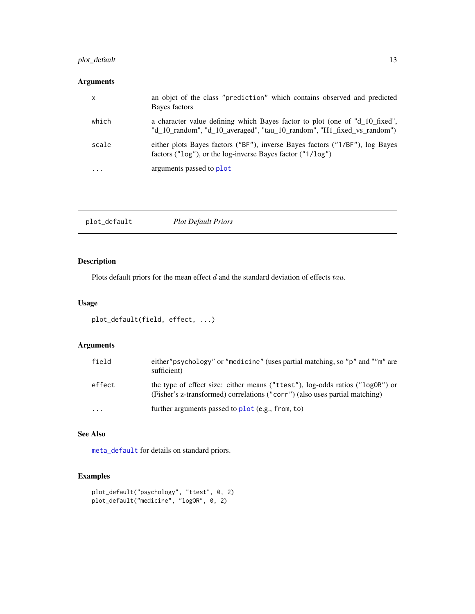## <span id="page-12-0"></span>plot\_default 13

## Arguments

| X         | an objet of the class "prediction" which contains observed and predicted<br>Bayes factors                                                             |
|-----------|-------------------------------------------------------------------------------------------------------------------------------------------------------|
| which     | a character value defining which Bayes factor to plot (one of "d_10_fixed",<br>"d_10_random", "d_10_averaged", "tau_10_random", "H1_fixed_vs_random") |
| scale     | either plots Bayes factors ("BF"), inverse Bayes factors ("1/BF"), log Bayes<br>factors (" $log$ "), or the log-inverse Bayes factor (" $1/log$ ")    |
| $\ddotsc$ | arguments passed to plot                                                                                                                              |

<span id="page-12-1"></span>

|--|

## Description

Plots default priors for the mean effect  $d$  and the standard deviation of effects  $tau$ .

## Usage

```
plot_default(field, effect, ...)
```
## Arguments

| field   | either" psychology" or "medicine" (uses partial matching, so "p" and ""m" are<br>sufficient)                                                                 |
|---------|--------------------------------------------------------------------------------------------------------------------------------------------------------------|
| effect  | the type of effect size: either means ("ttest"), log-odds ratios ("logOR") or<br>(Fisher's z-transformed) correlations ("corr") (also uses partial matching) |
| $\cdot$ | further arguments passed to $plot(e.g., from, to)$                                                                                                           |

## See Also

[meta\\_default](#page-8-1) for details on standard priors.

```
plot_default("psychology", "ttest", 0, 2)
plot_default("medicine", "logOR", 0, 2)
```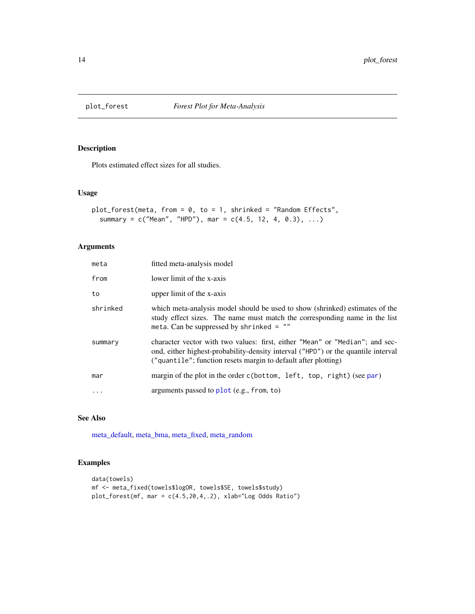<span id="page-13-1"></span><span id="page-13-0"></span>

Plots estimated effect sizes for all studies.

#### Usage

```
plot_forest(meta, from = 0, to = 1, shrinked = "Random Effects",summary = c("Mean", "HPD"), mar = c(4.5, 12, 4, 0.3), ...
```
## Arguments

| meta     | fitted meta-analysis model                                                                                                                                                                                                          |
|----------|-------------------------------------------------------------------------------------------------------------------------------------------------------------------------------------------------------------------------------------|
| from     | lower limit of the x-axis                                                                                                                                                                                                           |
| to       | upper limit of the x-axis                                                                                                                                                                                                           |
| shrinked | which meta-analysis model should be used to show (shrinked) estimates of the<br>study effect sizes. The name must match the corresponding name in the list<br>meta. Can be suppressed by shrinked $=$ ""                            |
| summary  | character vector with two values: first, either "Mean" or "Median"; and sec-<br>ond, either highest-probability-density interval ("HPD") or the quantile interval<br>("quantile"; function resets margin to default after plotting) |
| mar      | margin of the plot in the order c(bottom, left, top, right) (see par)                                                                                                                                                               |
|          | arguments passed to $plot(e.g., from, to)$                                                                                                                                                                                          |

## See Also

[meta\\_default,](#page-8-1) [meta\\_bma,](#page-6-1) [meta\\_fixed,](#page-9-1) [meta\\_random](#page-10-1)

```
data(towels)
mf <- meta_fixed(towels$logOR, towels$SE, towels$study)
plot_forest(mf, mar = c(4.5,20,4,.2), xlab="Log Odds Ratio")
```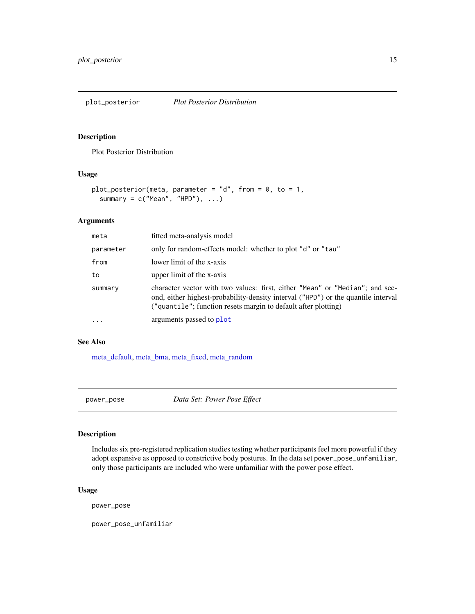<span id="page-14-1"></span><span id="page-14-0"></span>plot\_posterior *Plot Posterior Distribution*

## Description

Plot Posterior Distribution

## Usage

```
plot_posterior(meta, parameter = "d", from = 0, to = 1,
 summary = c("Mean", "HPD"), ...)
```
#### Arguments

| meta      | fitted meta-analysis model                                                                                                                                                                                                          |
|-----------|-------------------------------------------------------------------------------------------------------------------------------------------------------------------------------------------------------------------------------------|
| parameter | only for random-effects model: whether to plot "d" or "tau"                                                                                                                                                                         |
| from      | lower limit of the x-axis                                                                                                                                                                                                           |
| to        | upper limit of the x-axis                                                                                                                                                                                                           |
| summary   | character vector with two values: first, either "Mean" or "Median"; and sec-<br>ond, either highest-probability-density interval ("HPD") or the quantile interval<br>("quantile"; function resets margin to default after plotting) |
| $\cdots$  | arguments passed to plot                                                                                                                                                                                                            |

#### See Also

[meta\\_default,](#page-8-1) [meta\\_bma,](#page-6-1) [meta\\_fixed,](#page-9-1) [meta\\_random](#page-10-1)

power\_pose *Data Set: Power Pose Effect*

## Description

Includes six pre-registered replication studies testing whether participants feel more powerful if they adopt expansive as opposed to constrictive body postures. In the data set power\_pose\_unfamiliar, only those participants are included who were unfamiliar with the power pose effect.

## Usage

power\_pose

power\_pose\_unfamiliar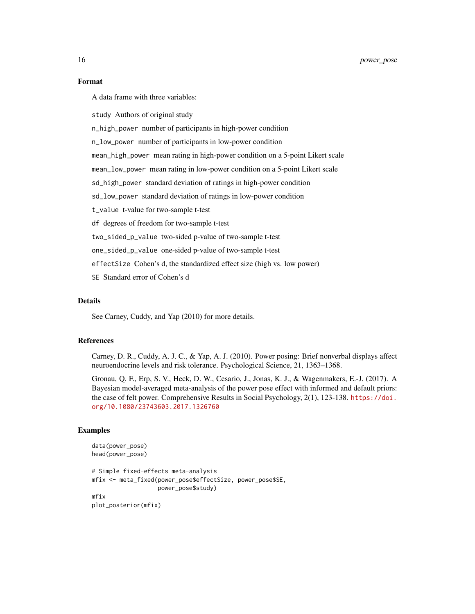## Format

A data frame with three variables:

study Authors of original study

n\_high\_power number of participants in high-power condition

n\_low\_power number of participants in low-power condition

mean\_high\_power mean rating in high-power condition on a 5-point Likert scale

mean\_low\_power mean rating in low-power condition on a 5-point Likert scale

sd\_high\_power standard deviation of ratings in high-power condition

sd\_low\_power standard deviation of ratings in low-power condition

t\_value t-value for two-sample t-test

df degrees of freedom for two-sample t-test

two\_sided\_p\_value two-sided p-value of two-sample t-test

one\_sided\_p\_value one-sided p-value of two-sample t-test

effectSize Cohen's d, the standardized effect size (high vs. low power)

SE Standard error of Cohen's d

#### Details

See Carney, Cuddy, and Yap (2010) for more details.

## References

Carney, D. R., Cuddy, A. J. C., & Yap, A. J. (2010). Power posing: Brief nonverbal displays affect neuroendocrine levels and risk tolerance. Psychological Science, 21, 1363–1368.

Gronau, Q. F., Erp, S. V., Heck, D. W., Cesario, J., Jonas, K. J., & Wagenmakers, E.-J. (2017). A Bayesian model-averaged meta-analysis of the power pose effect with informed and default priors: the case of felt power. Comprehensive Results in Social Psychology, 2(1), 123-138. [https://doi.](https://doi.org/10.1080/23743603.2017.1326760) [org/10.1080/23743603.2017.1326760](https://doi.org/10.1080/23743603.2017.1326760)

```
data(power_pose)
head(power_pose)
```

```
# Simple fixed-effects meta-analysis
mfix <- meta_fixed(power_pose$effectSize, power_pose$SE,
                  power_pose$study)
mfix
plot_posterior(mfix)
```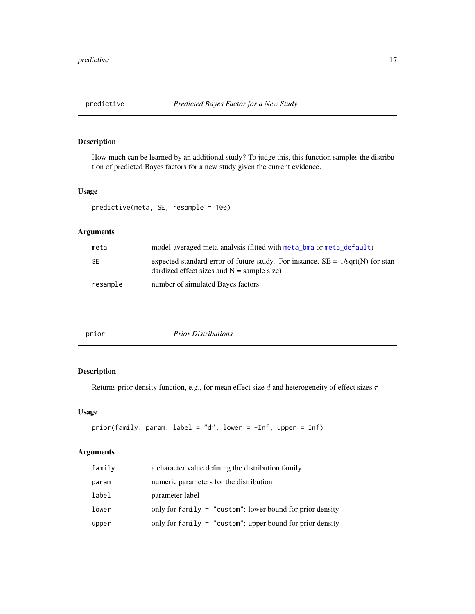<span id="page-16-0"></span>

How much can be learned by an additional study? To judge this, this function samples the distribution of predicted Bayes factors for a new study given the current evidence.

## Usage

```
predictive(meta, SE, resample = 100)
```
## Arguments

| meta      | model-averaged meta-analysis (fitted with meta_bma or meta_default)                                                               |
|-----------|-----------------------------------------------------------------------------------------------------------------------------------|
| <b>SE</b> | expected standard error of future study. For instance, $SE = 1/sqrt(N)$ for stan-<br>dardized effect sizes and $N =$ sample size) |
| resample  | number of simulated Bayes factors                                                                                                 |

<span id="page-16-1"></span>

| prior | <b>Prior Distributions</b> |  |
|-------|----------------------------|--|
|-------|----------------------------|--|

## Description

Returns prior density function, e.g., for mean effect size d and heterogeneity of effect sizes  $\tau$ 

## Usage

```
prior(family, param, label = "d", lower = -Inf, upper = Inf)
```
#### Arguments

| family | a character value defining the distribution family          |  |
|--------|-------------------------------------------------------------|--|
| param  | numeric parameters for the distribution                     |  |
| label  | parameter label                                             |  |
| lower  | only for family $=$ "custom": lower bound for prior density |  |
| upper  | only for family $=$ "custom": upper bound for prior density |  |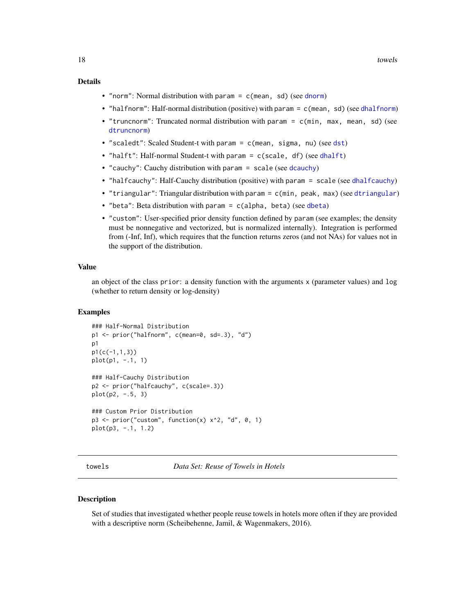#### <span id="page-17-0"></span>Details

- "norm": Normal distribution with param  $= c$  (mean, sd) (see [dnorm](#page-0-0))
- "halfnorm": Half-normal distribution (positive) with param = c(mean, sd) (see [dhalfnorm](#page-0-0))
- "truncnorm": Truncated normal distribution with param = c(min, max, mean, sd) (see [dtruncnorm](#page-4-1))
- "scaledt": Scaled Student-t with param = c(mean, sigma, nu) (see [dst](#page-0-0))
- "halft": Half-normal Student-t with param = c(scale, df) (see [dhalft](#page-0-0))
- "cauchy": Cauchy distribution with param = scale (see [dcauchy](#page-0-0))
- "halfcauchy": Half-Cauchy distribution (positive) with param = scale (see [dhalfcauchy](#page-0-0))
- "triangular": Triangular distribution with param = c(min, peak, max) (see [dtriangular](#page-3-1))
- "beta": Beta distribution with param =  $c$ (alpha, beta) (see [dbeta](#page-0-0))
- "custom": User-specified prior density function defined by param (see examples; the density must be nonnegative and vectorized, but is normalized internally). Integration is performed from (-Inf, Inf), which requires that the function returns zeros (and not NAs) for values not in the support of the distribution.

#### Value

an object of the class prior: a density function with the arguments x (parameter values) and log (whether to return density or log-density)

#### Examples

```
### Half-Normal Distribution
p1 <- prior("halfnorm", c(mean=0, sd=.3), "d")
p1
p1(c(-1,1,3))
plot(p1, -.1, 1)
### Half-Cauchy Distribution
p2 <- prior("halfcauchy", c(scale=.3))
plot(p2, -.5, 3)### Custom Prior Distribution
p3 \leq- prior("custom", function(x) x^2, "d", 0, 1)
plot(p3, -.1, 1.2)
```
towels *Data Set: Reuse of Towels in Hotels*

#### Description

Set of studies that investigated whether people reuse towels in hotels more often if they are provided with a descriptive norm (Scheibehenne, Jamil, & Wagenmakers, 2016).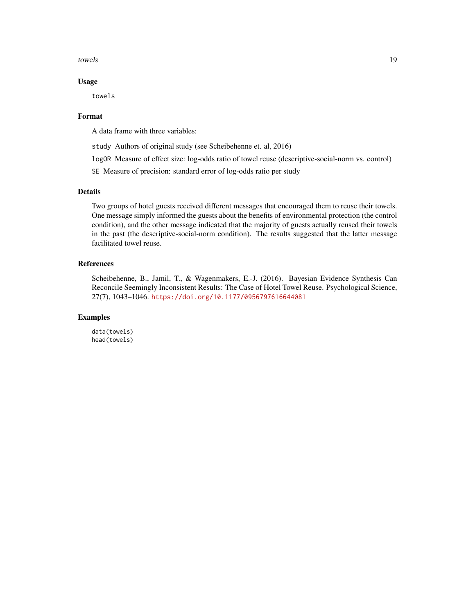towels the contract of the contract of the contract of the contract of the contract of the contract of the contract of the contract of the contract of the contract of the contract of the contract of the contract of the con

#### Usage

towels

#### Format

A data frame with three variables:

study Authors of original study (see Scheibehenne et. al, 2016)

logOR Measure of effect size: log-odds ratio of towel reuse (descriptive-social-norm vs. control)

SE Measure of precision: standard error of log-odds ratio per study

## Details

Two groups of hotel guests received different messages that encouraged them to reuse their towels. One message simply informed the guests about the benefits of environmental protection (the control condition), and the other message indicated that the majority of guests actually reused their towels in the past (the descriptive-social-norm condition). The results suggested that the latter message facilitated towel reuse.

#### References

Scheibehenne, B., Jamil, T., & Wagenmakers, E.-J. (2016). Bayesian Evidence Synthesis Can Reconcile Seemingly Inconsistent Results: The Case of Hotel Towel Reuse. Psychological Science, 27(7), 1043–1046. <https://doi.org/10.1177/0956797616644081>

#### Examples

data(towels) head(towels)